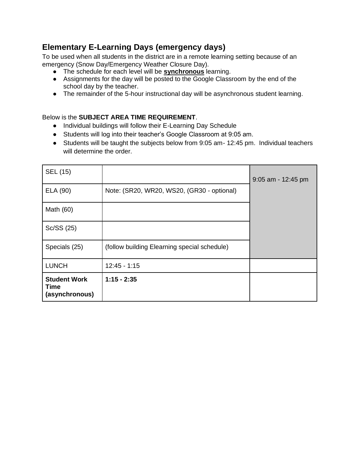# **Elementary E-Learning Days (emergency days)**

To be used when all students in the district are in a remote learning setting because of an emergency (Snow Day/Emergency Weather Closure Day).

- The schedule for each level will be **synchronous** learning.
- Assignments for the day will be posted to the Google Classroom by the end of the school day by the teacher.
- The remainder of the 5-hour instructional day will be asynchronous student learning.

#### Below is the **SUBJECT AREA TIME REQUIREMENT**.

- Individual buildings will follow their E-Learning Day Schedule
- Students will log into their teacher's Google Classroom at 9:05 am.
- Students will be taught the subjects below from 9:05 am- 12:45 pm. Individual teachers will determine the order.

| SEL (15)                                      |                                              | 9:05 am - 12:45 pm |
|-----------------------------------------------|----------------------------------------------|--------------------|
| ELA (90)                                      | Note: (SR20, WR20, WS20, (GR30 - optional)   |                    |
| Math (60)                                     |                                              |                    |
| Sc/SS (25)                                    |                                              |                    |
| Specials (25)                                 | (follow building Elearning special schedule) |                    |
| <b>LUNCH</b>                                  | $12:45 - 1:15$                               |                    |
| <b>Student Work</b><br>Time<br>(asynchronous) | $1:15 - 2:35$                                |                    |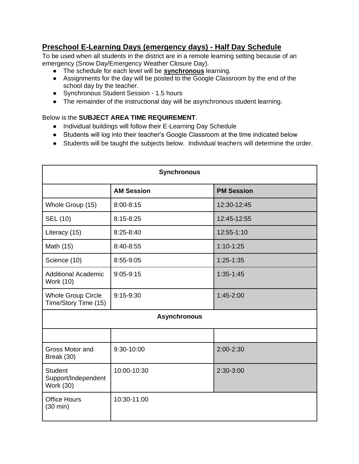### **Preschool E-Learning Days (emergency days) - Half Day Schedule**

To be used when all students in the district are in a remote learning setting because of an emergency (Snow Day/Emergency Weather Closure Day).

- The schedule for each level will be **synchronous** learning.
- Assignments for the day will be posted to the Google Classroom by the end of the school day by the teacher.
- Synchronous Student Session 1.5 hours
- The remainder of the instructional day will be asynchronous student learning.

#### Below is the **SUBJECT AREA TIME REQUIREMENT**.

- Individual buildings will follow their E-Learning Day Schedule
- Students will log into their teacher's Google Classroom at the time indicated below
- Students will be taught the subjects below. Individual teachers will determine the order.

| <b>Synchronous</b>                                        |                   |                   |  |  |
|-----------------------------------------------------------|-------------------|-------------------|--|--|
|                                                           | <b>AM Session</b> | <b>PM Session</b> |  |  |
| Whole Group (15)                                          | 8:00-8:15         | 12:30-12:45       |  |  |
| <b>SEL (10)</b>                                           | 8:15-8:25         | 12:45-12:55       |  |  |
| Literacy (15)                                             | 8:25-8:40         | 12:55-1:10        |  |  |
| Math (15)                                                 | 8:40-8:55         | $1:10-1:25$       |  |  |
| Science (10)                                              | 8:55-9:05         | $1:25 - 1:35$     |  |  |
| <b>Additional Academic</b><br>Work (10)                   | $9:05 - 9:15$     | $1:35-1:45$       |  |  |
| <b>Whole Group Circle</b><br>Time/Story Time (15)         | 9:15-9:30         | 1:45-2:00         |  |  |
| <b>Asynchronous</b>                                       |                   |                   |  |  |
|                                                           |                   |                   |  |  |
| Gross Motor and<br>Break (30)                             | 9:30-10:00        | 2:00-2:30         |  |  |
| <b>Student</b><br>Support/Independent<br><b>Work (30)</b> | 10:00-10:30       | 2:30-3:00         |  |  |
| <b>Office Hours</b><br>$(30 \text{ min})$                 | 10:30-11:00       |                   |  |  |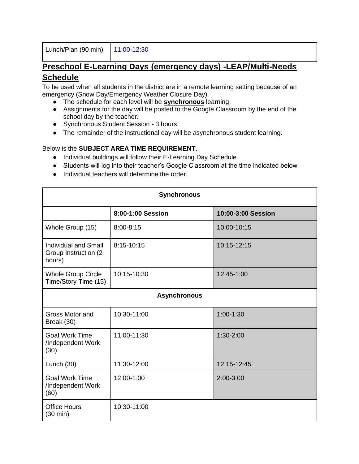Lunch/Plan (90 min) 11:00-12:30

## **Preschool E-Learning Days (emergency days) -LEAP/Multi-Needs Schedule**

To be used when all students in the district are in a remote learning setting because of an emergency (Snow Day/Emergency Weather Closure Day).

- The schedule for each level will be **synchronous** learning.
- Assignments for the day will be posted to the Google Classroom by the end of the school day by the teacher.
- Synchronous Student Session 3 hours
- The remainder of the instructional day will be asynchronous student learning.

#### Below is the **SUBJECT AREA TIME REQUIREMENT**.

- Individual buildings will follow their E-Learning Day Schedule
- Students will log into their teacher's Google Classroom at the time indicated below
- Individual teachers will determine the order.

| <b>Synchronous</b>                                             |                   |                    |  |  |
|----------------------------------------------------------------|-------------------|--------------------|--|--|
|                                                                | 8:00-1:00 Session | 10:00-3:00 Session |  |  |
| Whole Group (15)                                               | $8:00 - 8:15$     | 10:00-10:15        |  |  |
| <b>Individual and Small</b><br>Group Instruction (2)<br>hours) | 8:15-10:15        | 10:15-12:15        |  |  |
| <b>Whole Group Circle</b><br>Time/Story Time (15)              | 10:15-10:30       | 12:45-1:00         |  |  |
| <b>Asynchronous</b>                                            |                   |                    |  |  |
| Gross Motor and<br>Break (30)                                  | 10:30-11:00       | $1:00 - 1:30$      |  |  |
| <b>Goal Work Time</b><br>/Independent Work<br>(30)             | 11:00-11:30       | 1:30-2:00          |  |  |
| Lunch $(30)$                                                   | 11:30-12:00       | 12:15-12:45        |  |  |
| <b>Goal Work Time</b><br>/Independent Work<br>(60)             | 12:00-1:00        | $2:00 - 3:00$      |  |  |
| <b>Office Hours</b><br>$(30 \text{ min})$                      | 10:30-11:00       |                    |  |  |